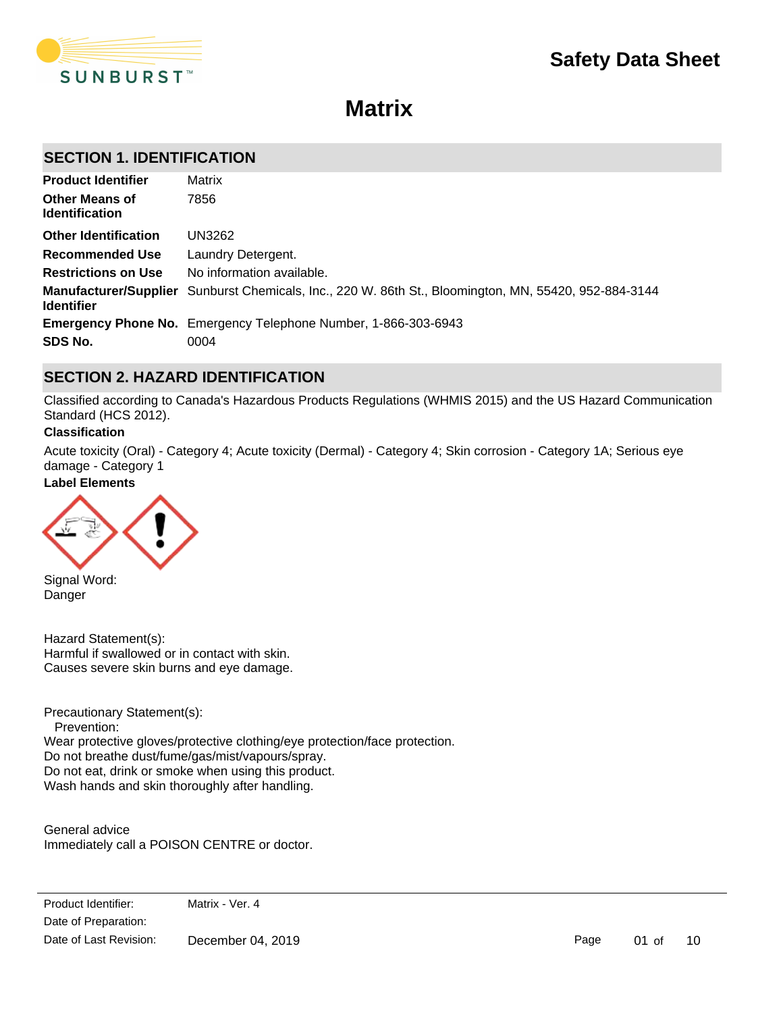

# **Matrix**

## **SECTION 1. IDENTIFICATION**

| <b>Product Identifier</b>                      | Matrix                                                                                                |
|------------------------------------------------|-------------------------------------------------------------------------------------------------------|
| <b>Other Means of</b><br><b>Identification</b> | 7856                                                                                                  |
| <b>Other Identification</b>                    | UN3262                                                                                                |
| <b>Recommended Use</b>                         | Laundry Detergent.                                                                                    |
| <b>Restrictions on Use</b>                     | No information available.                                                                             |
| <b>Identifier</b>                              | Manufacturer/Supplier Sunburst Chemicals, Inc., 220 W. 86th St., Bloomington, MN, 55420, 952-884-3144 |
|                                                | <b>Emergency Phone No.</b> Emergency Telephone Number, 1-866-303-6943                                 |
| SDS No.                                        | 0004                                                                                                  |

## **SECTION 2. HAZARD IDENTIFICATION**

Classified according to Canada's Hazardous Products Regulations (WHMIS 2015) and the US Hazard Communication Standard (HCS 2012).

### **Classification**

Acute toxicity (Oral) - Category 4; Acute toxicity (Dermal) - Category 4; Skin corrosion - Category 1A; Serious eye damage - Category 1

### **Label Elements**



Signal Word: Danger

Eyes

Hazard Statement(s): Harmful if swallowed or in contact with skin. Causes severe skin burns and eye damage.

Precautionary Statement(s):

 Prevention: Wear protective gloves/protective clothing/eye protection/face protection. Do not breathe dust/fume/gas/mist/vapours/spray. Do not eat, drink or smoke when using this product. Wash hands and skin thoroughly after handling.

General advice Immediately call a POISON CENTRE or doctor.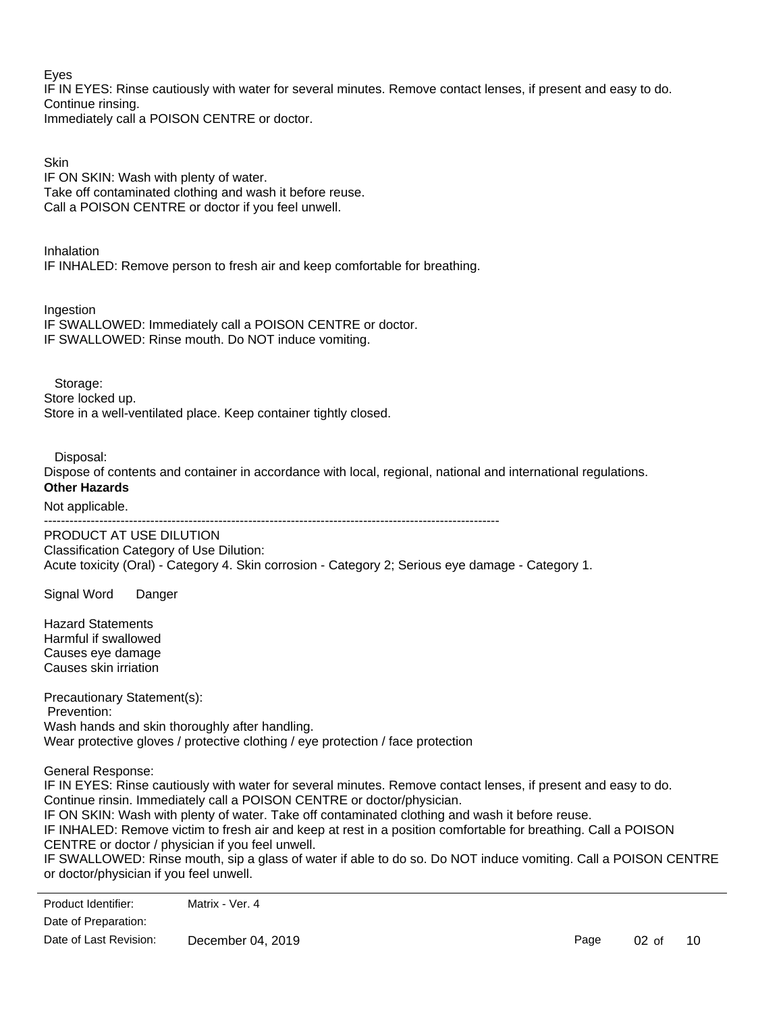Eyes

IF IN EYES: Rinse cautiously with water for several minutes. Remove contact lenses, if present and easy to do. Continue rinsing. Immediately call a POISON CENTRE or doctor.

**Skin** IF ON SKIN: Wash with plenty of water. Take off contaminated clothing and wash it before reuse. Call a POISON CENTRE or doctor if you feel unwell.

Inhalation IF INHALED: Remove person to fresh air and keep comfortable for breathing.

Ingestion IF SWALLOWED: Immediately call a POISON CENTRE or doctor. IF SWALLOWED: Rinse mouth. Do NOT induce vomiting.

 Storage: Store locked up. Store in a well-ventilated place. Keep container tightly closed.

Disposal:

Dispose of contents and container in accordance with local, regional, national and international regulations.

## **Other Hazards**

Not applicable.

-----------------------------------------------------------------------------------------------------------

PRODUCT AT USE DILUTION Classification Category of Use Dilution: Acute toxicity (Oral) - Category 4. Skin corrosion - Category 2; Serious eye damage - Category 1.

Signal Word Danger

Hazard Statements Harmful if swallowed Causes eye damage Causes skin irriation

Precautionary Statement(s): Prevention: Wash hands and skin thoroughly after handling. Wear protective gloves / protective clothing / eye protection / face protection

General Response:

IF IN EYES: Rinse cautiously with water for several minutes. Remove contact lenses, if present and easy to do. Continue rinsin. Immediately call a POISON CENTRE or doctor/physician. IF ON SKIN: Wash with plenty of water. Take off contaminated clothing and wash it before reuse. IF INHALED: Remove victim to fresh air and keep at rest in a position comfortable for breathing. Call a POISON CENTRE or doctor / physician if you feel unwell. IF SWALLOWED: Rinse mouth, sip a glass of water if able to do so. Do NOT induce vomiting. Call a POISON CENTRE

or doctor/physician if you feel unwell.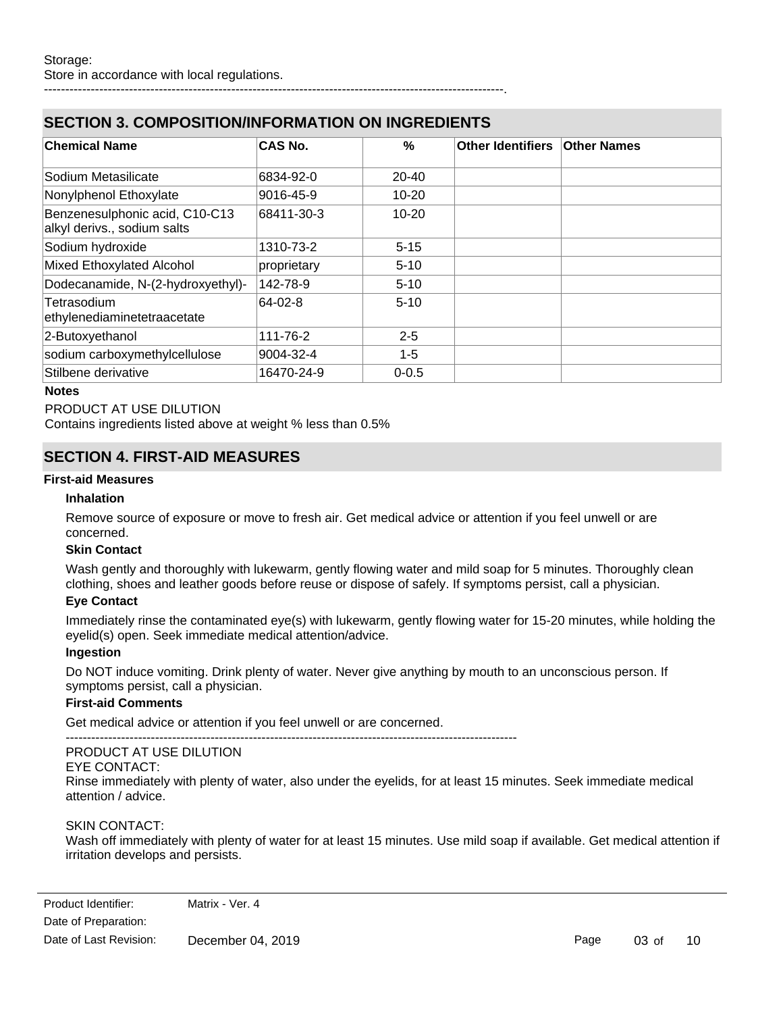## **SECTION 3. COMPOSITION/INFORMATION ON INGREDIENTS**

------------------------------------------------------------------------------------------------------------.

| <b>Chemical Name</b>                                          | <b>CAS No.</b> | $\%$      | Other Identifiers   Other Names |  |
|---------------------------------------------------------------|----------------|-----------|---------------------------------|--|
|                                                               |                |           |                                 |  |
| Sodium Metasilicate                                           | 6834-92-0      | $20 - 40$ |                                 |  |
| Nonylphenol Ethoxylate                                        | 9016-45-9      | $10 - 20$ |                                 |  |
| Benzenesulphonic acid, C10-C13<br>alkyl derivs., sodium salts | 68411-30-3     | $10 - 20$ |                                 |  |
| Sodium hydroxide                                              | 1310-73-2      | $5 - 15$  |                                 |  |
| Mixed Ethoxylated Alcohol                                     | proprietary    | $5 - 10$  |                                 |  |
| Dodecanamide, N-(2-hydroxyethyl)-                             | 142-78-9       | $5 - 10$  |                                 |  |
| Tetrasodium<br>ethylenediaminetetraacetate                    | 64-02-8        | $5 - 10$  |                                 |  |
| 2-Butoxyethanol                                               | 111-76-2       | $2 - 5$   |                                 |  |
| sodium carboxymethylcellulose                                 | 9004-32-4      | $1 - 5$   |                                 |  |
| Stilbene derivative                                           | 16470-24-9     | $0 - 0.5$ |                                 |  |

### **Notes**

### PRODUCT AT USE DILUTION

Contains ingredients listed above at weight % less than 0.5%

## **SECTION 4. FIRST-AID MEASURES**

### **First-aid Measures**

### **Inhalation**

Remove source of exposure or move to fresh air. Get medical advice or attention if you feel unwell or are concerned.

### **Skin Contact**

Wash gently and thoroughly with lukewarm, gently flowing water and mild soap for 5 minutes. Thoroughly clean clothing, shoes and leather goods before reuse or dispose of safely. If symptoms persist, call a physician.

### **Eye Contact**

Immediately rinse the contaminated eye(s) with lukewarm, gently flowing water for 15-20 minutes, while holding the eyelid(s) open. Seek immediate medical attention/advice.

### **Ingestion**

Do NOT induce vomiting. Drink plenty of water. Never give anything by mouth to an unconscious person. If symptoms persist, call a physician.

### **First-aid Comments**

Get medical advice or attention if you feel unwell or are concerned.

#### ---------------------------------------------------------------------------------------------------------- PRODUCT AT USE DILUTION

EYE CONTACT:

Rinse immediately with plenty of water, also under the eyelids, for at least 15 minutes. Seek immediate medical attention / advice.

### SKIN CONTACT:

Wash off immediately with plenty of water for at least 15 minutes. Use mild soap if available. Get medical attention if irritation develops and persists.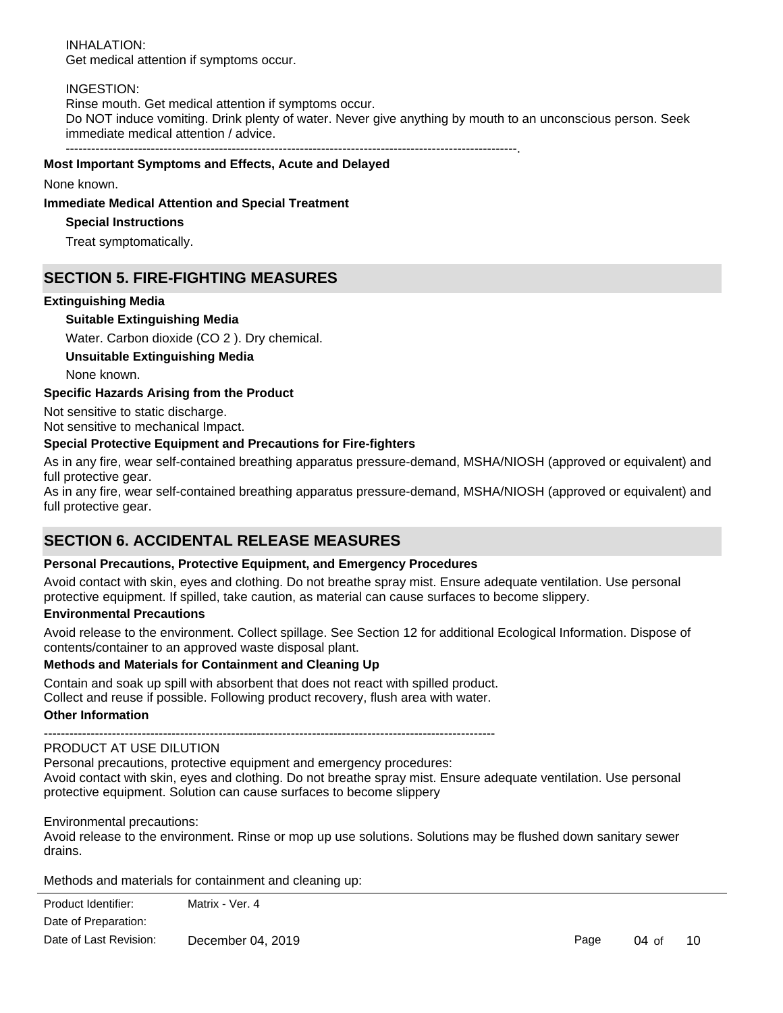INHALATION: Get medical attention if symptoms occur.

### INGESTION:

Rinse mouth. Get medical attention if symptoms occur. Do NOT induce vomiting. Drink plenty of water. Never give anything by mouth to an unconscious person. Seek immediate medical attention / advice.

----------------------------------------------------------------------------------------------------------.

### **Most Important Symptoms and Effects, Acute and Delayed**

#### None known.

#### **Immediate Medical Attention and Special Treatment**

### **Special Instructions**

Treat symptomatically.

## **SECTION 5. FIRE-FIGHTING MEASURES**

### **Extinguishing Media**

### **Suitable Extinguishing Media**

Water. Carbon dioxide (CO 2 ). Dry chemical.

**Unsuitable Extinguishing Media**

None known.

### **Specific Hazards Arising from the Product**

Not sensitive to static discharge. Not sensitive to mechanical Impact.

### **Special Protective Equipment and Precautions for Fire-fighters**

As in any fire, wear self-contained breathing apparatus pressure-demand, MSHA/NIOSH (approved or equivalent) and full protective gear.

As in any fire, wear self-contained breathing apparatus pressure-demand, MSHA/NIOSH (approved or equivalent) and full protective gear.

## **SECTION 6. ACCIDENTAL RELEASE MEASURES**

### **Personal Precautions, Protective Equipment, and Emergency Procedures**

Avoid contact with skin, eyes and clothing. Do not breathe spray mist. Ensure adequate ventilation. Use personal protective equipment. If spilled, take caution, as material can cause surfaces to become slippery.

### **Environmental Precautions**

Avoid release to the environment. Collect spillage. See Section 12 for additional Ecological Information. Dispose of contents/container to an approved waste disposal plant.

### **Methods and Materials for Containment and Cleaning Up**

Contain and soak up spill with absorbent that does not react with spilled product. Collect and reuse if possible. Following product recovery, flush area with water.

### **Other Information**

----------------------------------------------------------------------------------------------------------

### PRODUCT AT USE DILUTION

Personal precautions, protective equipment and emergency procedures: Avoid contact with skin, eyes and clothing. Do not breathe spray mist. Ensure adequate ventilation. Use personal protective equipment. Solution can cause surfaces to become slippery

Environmental precautions:

Avoid release to the environment. Rinse or mop up use solutions. Solutions may be flushed down sanitary sewer drains.

Methods and materials for containment and cleaning up: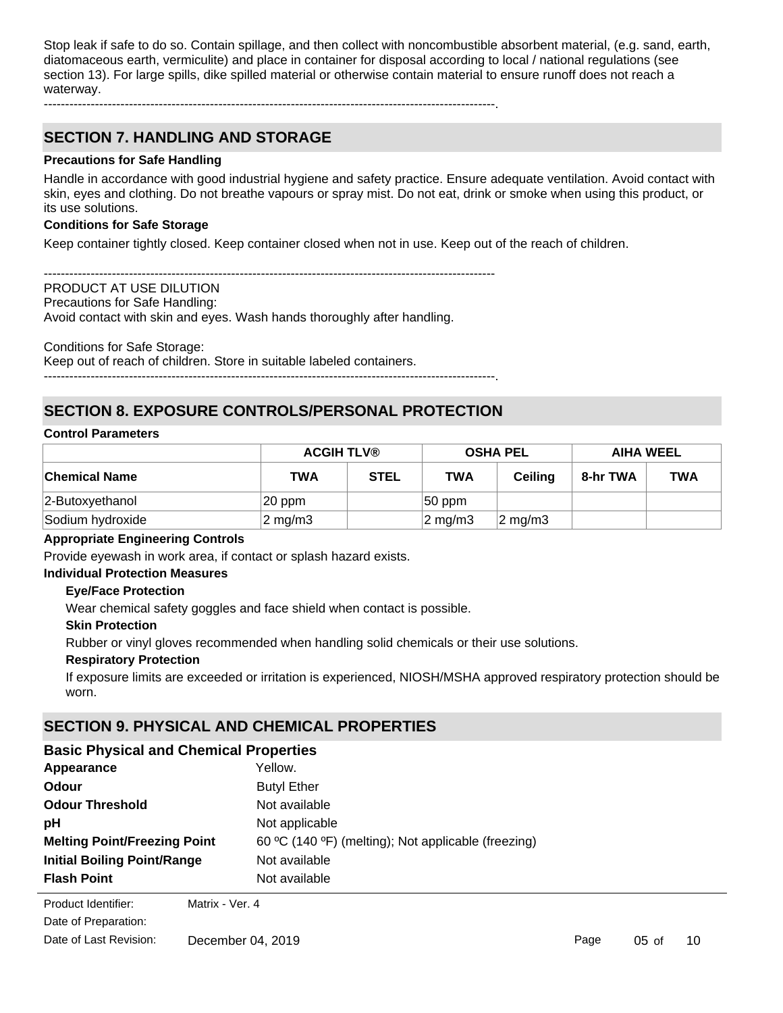Stop leak if safe to do so. Contain spillage, and then collect with noncombustible absorbent material, (e.g. sand, earth, diatomaceous earth, vermiculite) and place in container for disposal according to local / national regulations (see section 13). For large spills, dike spilled material or otherwise contain material to ensure runoff does not reach a waterway.

## **SECTION 7. HANDLING AND STORAGE**

### **Precautions for Safe Handling**

Handle in accordance with good industrial hygiene and safety practice. Ensure adequate ventilation. Avoid contact with skin, eyes and clothing. Do not breathe vapours or spray mist. Do not eat, drink or smoke when using this product, or its use solutions.

### **Conditions for Safe Storage**

Keep container tightly closed. Keep container closed when not in use. Keep out of the reach of children.

---------------------------------------------------------------------------------------------------------- PRODUCT AT USE DILUTION Precautions for Safe Handling: Avoid contact with skin and eyes. Wash hands thoroughly after handling.

Conditions for Safe Storage:

Keep out of reach of children. Store in suitable labeled containers.

----------------------------------------------------------------------------------------------------------.

----------------------------------------------------------------------------------------------------------.

## **SECTION 8. EXPOSURE CONTROLS/PERSONAL PROTECTION**

#### **Control Parameters**

|                      | <b>ACGIH TLV®</b> |             | <b>OSHA PEL</b>     |                    | <b>AIHA WEEL</b> |            |
|----------------------|-------------------|-------------|---------------------|--------------------|------------------|------------|
| <b>Chemical Name</b> | <b>TWA</b>        | <b>STEL</b> | <b>TWA</b>          | <b>Ceiling</b>     | 8-hr TWA         | <b>TWA</b> |
| 2-Butoxyethanol      | 20 ppm            |             | $ 50$ ppm           |                    |                  |            |
| Sodium hydroxide     | $2 \text{ mg/m}$  |             | $ 2 \text{ mg/m}$ 3 | $2 \text{ mg/m}$ 3 |                  |            |

### **Appropriate Engineering Controls**

Provide eyewash in work area, if contact or splash hazard exists.

## **Individual Protection Measures**

### **Eye/Face Protection**

Wear chemical safety goggles and face shield when contact is possible.

### **Skin Protection**

Rubber or vinyl gloves recommended when handling solid chemicals or their use solutions.

### **Respiratory Protection**

If exposure limits are exceeded or irritation is experienced, NIOSH/MSHA approved respiratory protection should be worn.

## **SECTION 9. PHYSICAL AND CHEMICAL PROPERTIES**

| <b>Basic Physical and Chemical Properties</b> |                                                     |  |  |  |
|-----------------------------------------------|-----------------------------------------------------|--|--|--|
| Appearance                                    | Yellow.                                             |  |  |  |
| Odour                                         | <b>Butyl Ether</b>                                  |  |  |  |
| <b>Odour Threshold</b>                        | Not available                                       |  |  |  |
| рH                                            | Not applicable                                      |  |  |  |
| <b>Melting Point/Freezing Point</b>           | 60 °C (140 °F) (melting); Not applicable (freezing) |  |  |  |
| <b>Initial Boiling Point/Range</b>            | Not available                                       |  |  |  |
| <b>Flash Point</b>                            | Not available                                       |  |  |  |
|                                               |                                                     |  |  |  |

**Product Identifier:** Matrix - Ver. 4 Date of Preparation: Date of Last Revision: December 04, 2019

Page 05 of 10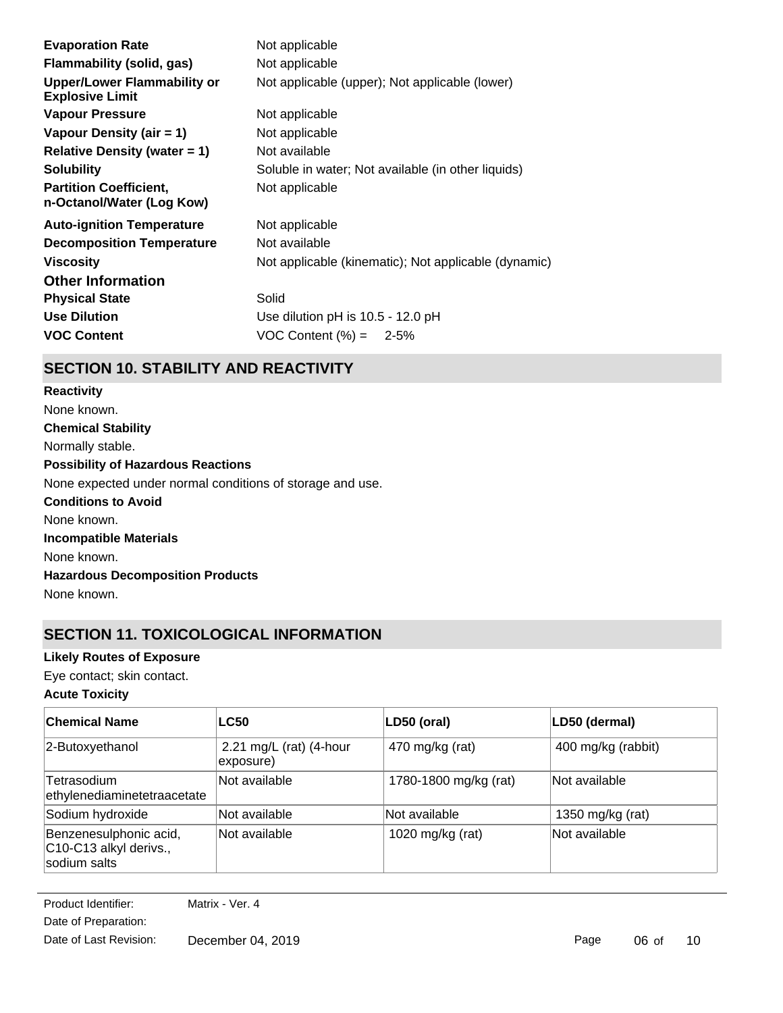| <b>Evaporation Rate</b>                                      | Not applicable                                       |
|--------------------------------------------------------------|------------------------------------------------------|
| Flammability (solid, gas)                                    | Not applicable                                       |
| <b>Upper/Lower Flammability or</b><br><b>Explosive Limit</b> | Not applicable (upper); Not applicable (lower)       |
| Vapour Pressure                                              | Not applicable                                       |
| Vapour Density (air $= 1$ )                                  | Not applicable                                       |
| Relative Density (water $= 1$ )                              | Not available                                        |
| <b>Solubility</b>                                            | Soluble in water; Not available (in other liquids)   |
| <b>Partition Coefficient,</b><br>n-Octanol/Water (Log Kow)   | Not applicable                                       |
| <b>Auto-ignition Temperature</b>                             | Not applicable                                       |
| <b>Decomposition Temperature</b>                             | Not available                                        |
| <b>Viscosity</b>                                             | Not applicable (kinematic); Not applicable (dynamic) |
| <b>Other Information</b>                                     |                                                      |
| <b>Physical State</b>                                        | Solid                                                |
| <b>Use Dilution</b>                                          | Use dilution pH is 10.5 - 12.0 pH                    |
| <b>VOC Content</b>                                           | VOC Content $(\% ) = 2-5\%$                          |
|                                                              |                                                      |

## **SECTION 10. STABILITY AND REACTIVITY**

**Chemical Stability** Normally stable. **Conditions to Avoid** None known. **Incompatible Materials** None known. **Hazardous Decomposition Products** None known. **Possibility of Hazardous Reactions** None expected under normal conditions of storage and use. **Reactivity** None known.

## **SECTION 11. TOXICOLOGICAL INFORMATION**

### **Likely Routes of Exposure**

Eye contact; skin contact.

### **Acute Toxicity**

| <b>Chemical Name</b>                                             | <b>LC50</b>                          | LD50 (oral)           | LD50 (dermal)      |
|------------------------------------------------------------------|--------------------------------------|-----------------------|--------------------|
| 2-Butoxyethanol                                                  | 2.21 mg/L (rat) (4-hour<br>exposure) | 470 mg/kg (rat)       | 400 mg/kg (rabbit) |
| Tetrasodium<br>ethylenediaminetetraacetate                       | Not available                        | 1780-1800 mg/kg (rat) | Not available      |
| Sodium hydroxide                                                 | Not available                        | Not available         | 1350 mg/kg (rat)   |
| Benzenesulphonic acid,<br>C10-C13 alkyl derivs.,<br>sodium salts | Not available                        | 1020 mg/kg (rat)      | Not available      |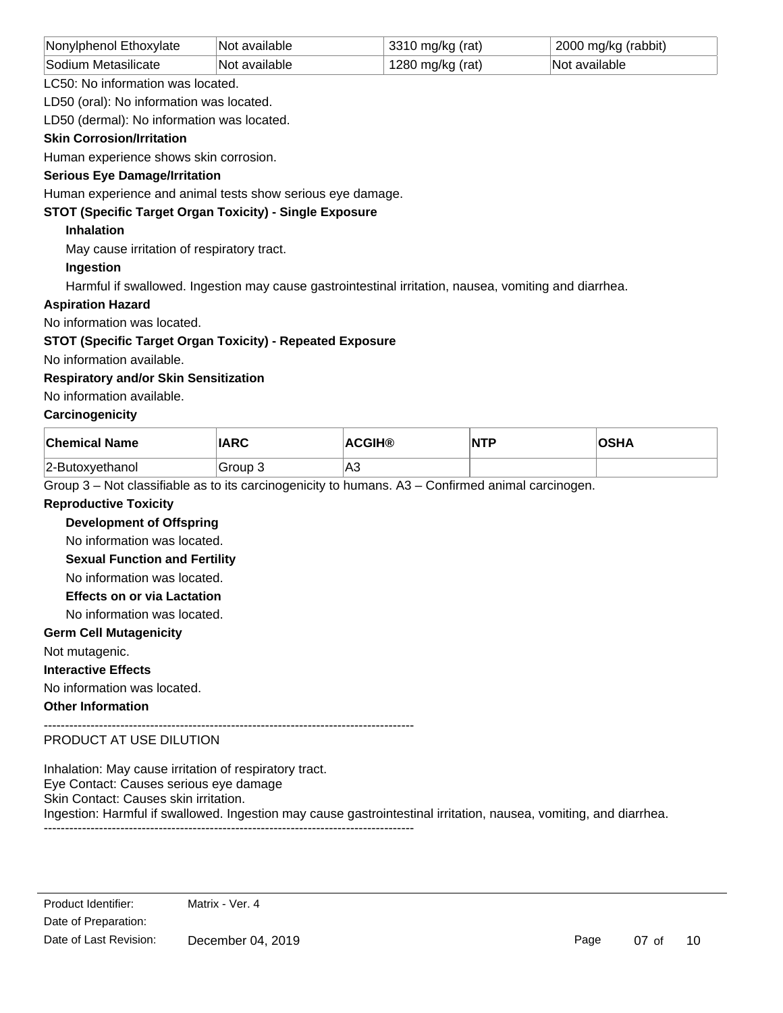| Nonylphenol Ethoxylate | Not available | 3310 mg/kg (rat) | 2000 mg/kg (rabbit) |
|------------------------|---------------|------------------|---------------------|
| Sodium Metasilicate    | Not available | 1280 mg/kg (rat) | Not available       |

LC50: No information was located.

LD50 (oral): No information was located.

LD50 (dermal): No information was located.

### **Skin Corrosion/Irritation**

Human experience shows skin corrosion.

### **Serious Eye Damage/Irritation**

Human experience and animal tests show serious eye damage.

### **STOT (Specific Target Organ Toxicity) - Single Exposure**

### **Inhalation**

May cause irritation of respiratory tract.

### **Ingestion**

Harmful if swallowed. Ingestion may cause gastrointestinal irritation, nausea, vomiting and diarrhea.

### **Aspiration Hazard**

No information was located.

### **STOT (Specific Target Organ Toxicity) - Repeated Exposure**

No information available.

### **Respiratory and/or Skin Sensitization**

No information available.

### **Carcinogenicity**

| <b>Chemical Name</b> | <b>IARC</b> | <b>ACGIH®</b> | NTP | ∖OSHA |
|----------------------|-------------|---------------|-----|-------|
| 2-Butoxyethanol      | Group 3     | A3            |     |       |

Group 3 – Not classifiable as to its carcinogenicity to humans. A3 – Confirmed animal carcinogen.

### **Reproductive Toxicity**

**Development of Offspring**

No information was located.

**Sexual Function and Fertility**

No information was located.

## **Effects on or via Lactation**

No information was located.

### **Germ Cell Mutagenicity**

Not mutagenic.

**Interactive Effects**

No information was located.

### **Other Information**

---------------------------------------------------------------------------------------

## PRODUCT AT USE DILUTION

Inhalation: May cause irritation of respiratory tract. Eye Contact: Causes serious eye damage Skin Contact: Causes skin irritation. Ingestion: Harmful if swallowed. Ingestion may cause gastrointestinal irritation, nausea, vomiting, and diarrhea. ---------------------------------------------------------------------------------------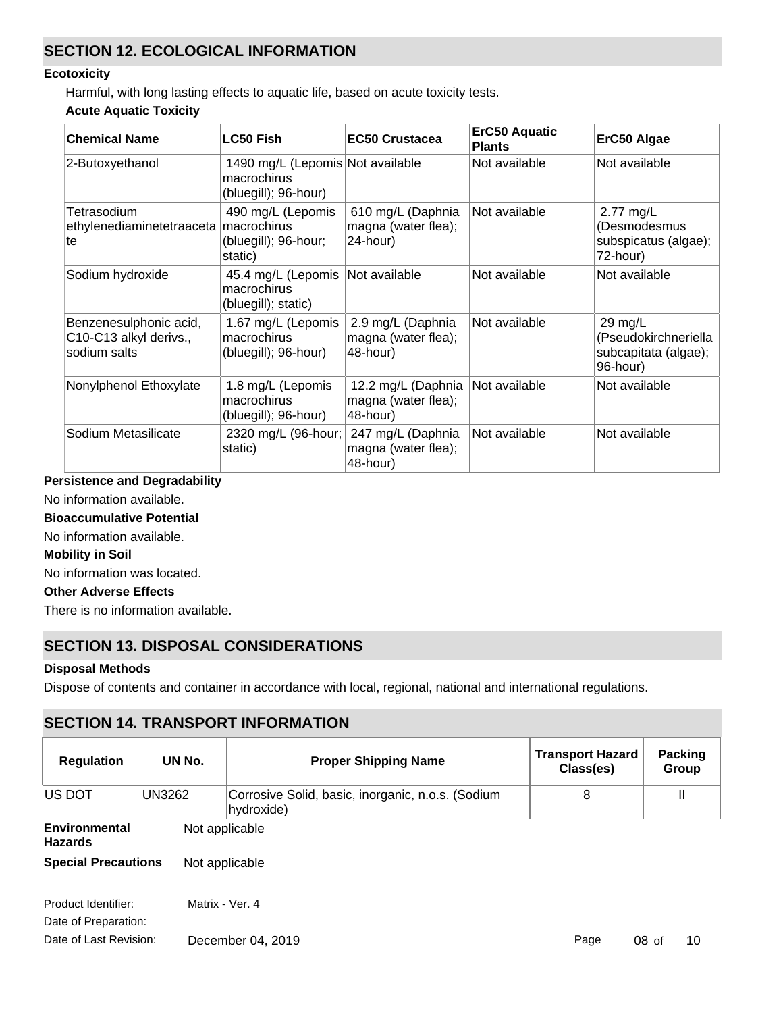## **SECTION 12. ECOLOGICAL INFORMATION**

### **Ecotoxicity**

Harmful, with long lasting effects to aquatic life, based on acute toxicity tests.

### **Acute Aquatic Toxicity**

| <b>Chemical Name</b>                                             | <b>LC50 Fish</b>                                                        | <b>EC50 Crustacea</b>                                 | <b>ErC50 Aquatic</b><br><b>Plants</b> | ErC50 Algae                                                         |
|------------------------------------------------------------------|-------------------------------------------------------------------------|-------------------------------------------------------|---------------------------------------|---------------------------------------------------------------------|
| 2-Butoxyethanol                                                  | 1490 mg/L (Lepomis Not available<br>macrochirus<br>(bluegill); 96-hour) |                                                       | Not available                         | Not available                                                       |
| Tetrasodium<br>ethylenediaminetetraaceta<br>te                   | 490 mg/L (Lepomis<br>macrochirus<br>(bluegill); 96-hour;<br>static)     | 610 mg/L (Daphnia<br>magna (water flea);<br>24-hour)  | Not available                         | 2.77 mg/L<br>(Desmodesmus<br>subspicatus (algae);<br>72-hour)       |
| Sodium hydroxide                                                 | 45.4 mg/L (Lepomis<br>macrochirus<br>(bluegill); static)                | Not available                                         | Not available                         | Not available                                                       |
| Benzenesulphonic acid,<br>C10-C13 alkyl derivs.,<br>sodium salts | 1.67 mg/L (Lepomis<br>macrochirus<br>(bluegill); 96-hour)               | 2.9 mg/L (Daphnia<br>magna (water flea);<br>48-hour)  | Not available                         | 29 mg/L<br>(Pseudokirchneriella<br>subcapitata (algae);<br>96-hour) |
| Nonylphenol Ethoxylate                                           | 1.8 mg/L (Lepomis<br>macrochirus<br>(bluegill); 96-hour)                | 12.2 mg/L (Daphnia<br>magna (water flea);<br>48-hour) | Not available                         | Not available                                                       |
| Sodium Metasilicate                                              | 2320 mg/L (96-hour;<br>static)                                          | 247 mg/L (Daphnia<br>magna (water flea);<br>48-hour)  | Not available                         | Not available                                                       |

## **Persistence and Degradability**

No information available.

### **Bioaccumulative Potential**

No information available.

### **Mobility in Soil**

No information was located.

### **Other Adverse Effects**

There is no information available.

## **SECTION 13. DISPOSAL CONSIDERATIONS**

### **Disposal Methods**

Dispose of contents and container in accordance with local, regional, national and international regulations.

|                                 |        | <b>SECTION 14. TRANSPORT INFORMATION</b>                        |                                      |                         |
|---------------------------------|--------|-----------------------------------------------------------------|--------------------------------------|-------------------------|
| <b>Regulation</b>               | UN No. | <b>Proper Shipping Name</b>                                     | <b>Transport Hazard</b><br>Class(es) | <b>Packing</b><br>Group |
| <b>US DOT</b>                   | UN3262 | Corrosive Solid, basic, inorganic, n.o.s. (Sodium<br>hydroxide) | 8                                    | $\mathbf{I}$            |
| Environmental<br><b>Hazards</b> |        | Not applicable                                                  |                                      |                         |
| <b>Special Precautions</b>      |        | Not applicable                                                  |                                      |                         |

Date of Preparation: Product Identifier: Matrix - Ver. 4 Date of Last Revision: December 04, 2019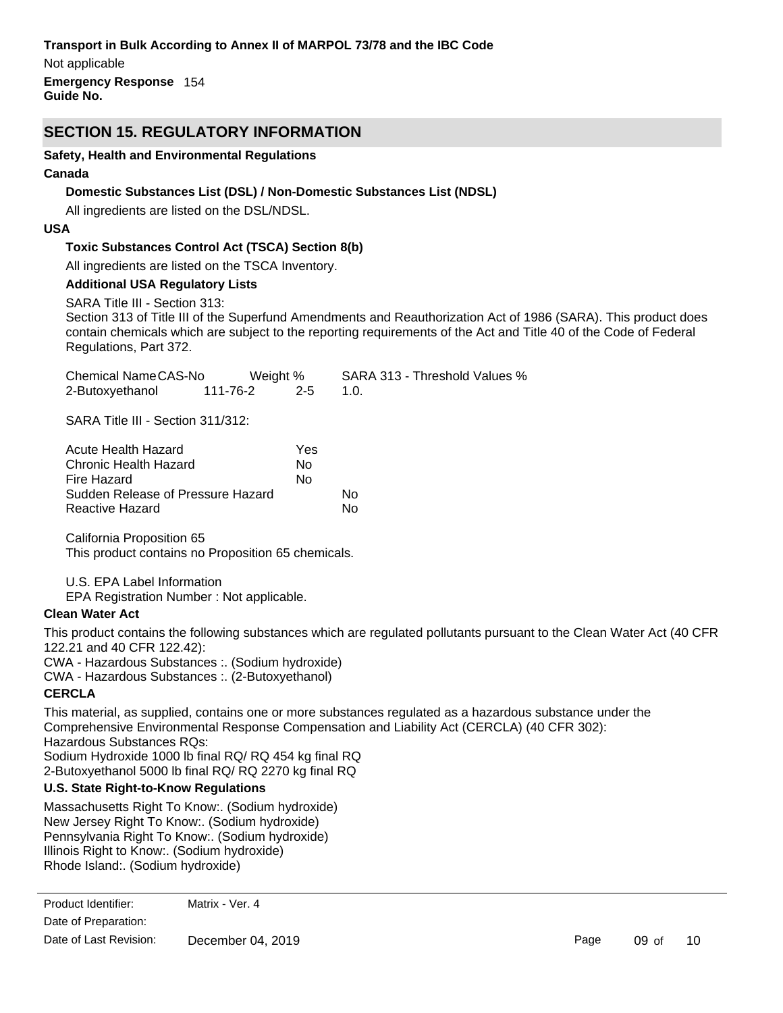### **Transport in Bulk According to Annex II of MARPOL 73/78 and the IBC Code**

**Emergency Response** 154 **Guide No.** Not applicable

## **SECTION 15. REGULATORY INFORMATION**

### **Safety, Health and Environmental Regulations**

### **Canada**

## **Domestic Substances List (DSL) / Non-Domestic Substances List (NDSL)**

All ingredients are listed on the DSL/NDSL.

## **USA**

## **Toxic Substances Control Act (TSCA) Section 8(b)**

All ingredients are listed on the TSCA Inventory.

### **Additional USA Regulatory Lists**

SARA Title III - Section 313:

Section 313 of Title III of the Superfund Amendments and Reauthorization Act of 1986 (SARA). This product does contain chemicals which are subject to the reporting requirements of the Act and Title 40 of the Code of Federal Regulations, Part 372.

| Chemical NameCAS-No | Weight % |         | SARA 313 - Threshold Values % |
|---------------------|----------|---------|-------------------------------|
| 2-Butoxyethanol     | 111-76-2 | $2 - 5$ |                               |

SARA Title III - Section 311/312:

| Acute Health Hazard               | Yes |    |
|-----------------------------------|-----|----|
| Chronic Health Hazard             | N٥  |    |
| Fire Hazard                       | N٥  |    |
| Sudden Release of Pressure Hazard |     | N٥ |
| Reactive Hazard                   |     | N٥ |

California Proposition 65 This product contains no Proposition 65 chemicals.

U.S. EPA Label Information

EPA Registration Number : Not applicable.

### **Clean Water Act**

This product contains the following substances which are regulated pollutants pursuant to the Clean Water Act (40 CFR 122.21 and 40 CFR 122.42):

CWA - Hazardous Substances :. (Sodium hydroxide)

CWA - Hazardous Substances :. (2-Butoxyethanol)

## **CERCLA**

This material, as supplied, contains one or more substances regulated as a hazardous substance under the Comprehensive Environmental Response Compensation and Liability Act (CERCLA) (40 CFR 302): Hazardous Substances RQs: Sodium Hydroxide 1000 lb final RQ/ RQ 454 kg final RQ

2-Butoxyethanol 5000 lb final RQ/ RQ 2270 kg final RQ

## **U.S. State Right-to-Know Regulations**

Massachusetts Right To Know:. (Sodium hydroxide) New Jersey Right To Know:. (Sodium hydroxide) Pennsylvania Right To Know:. (Sodium hydroxide) Illinois Right to Know:. (Sodium hydroxide) Rhode Island:. (Sodium hydroxide)